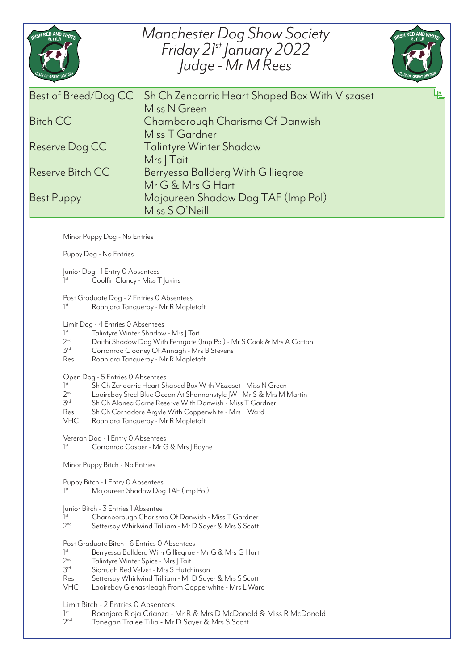| <b>RISH RED AND WHITE</b>                                                                                                                                                                                                                                                                               | <b>Manchester Dog Show Society</b><br>Friday 21st January 2022<br>Judge - Mr M Rees                                                                                                                                                                                                            | RISH RED AND WHITE |
|---------------------------------------------------------------------------------------------------------------------------------------------------------------------------------------------------------------------------------------------------------------------------------------------------------|------------------------------------------------------------------------------------------------------------------------------------------------------------------------------------------------------------------------------------------------------------------------------------------------|--------------------|
| Best of Breed/Dog CC<br><b>Bitch CC</b><br>Reserve Dog CC<br>Reserve Bitch CC<br><b>Best Puppy</b>                                                                                                                                                                                                      | Sh Ch Zendarric Heart Shaped Box With Viszaset<br>Miss N Green<br>Charnborough Charisma Of Danwish<br>Miss T Gardner<br><b>Talintyre Winter Shadow</b><br>Mrs   Tait<br>Berryessa Ballderg With Gilliegrae<br>Mr G & Mrs G Hart<br>Majoureen Shadow Dog TAF (Imp Pol)<br>Miss S O'Neill        |                    |
| Minor Puppy Dog - No Entries<br>Puppy Dog - No Entries                                                                                                                                                                                                                                                  |                                                                                                                                                                                                                                                                                                |                    |
| Junior Dog - 1 Entry 0 Absentees<br>Coolfin Clancy - Miss T Jakins                                                                                                                                                                                                                                      |                                                                                                                                                                                                                                                                                                |                    |
| Post Graduate Dog - 2 Entries 0 Absentees<br>1 <sup>st</sup><br>Roanjora Tanqueray - Mr R Mapletoft                                                                                                                                                                                                     |                                                                                                                                                                                                                                                                                                |                    |
| Limit Dog - 4 Entries 0 Absentees<br>1 <sup>st</sup><br>Talintyre Winter Shadow - Mrs   Tait<br>2 <sub>nd</sub><br>Daithi Shadow Dog With Ferngate (Imp Pol) - Mr S Cook & Mrs A Catton<br>3 <sup>rd</sup><br>Corranroo Clooney Of Annagh - Mrs B Stevens<br>Res<br>Roanjora Tanqueray - Mr R Mapletoft |                                                                                                                                                                                                                                                                                                |                    |
| Open Dog - 5 Entries 0 Absentees<br>1 <sup>st</sup><br>2 <sup>nd</sup><br>$3^{\text{rd}}$<br>Res<br><b>VHC</b>                                                                                                                                                                                          | Sh Ch Zendarric Heart Shaped Box With Viszaset - Miss N Green<br>Laoirebay Steel Blue Ocean At Shannonstyle  W - Mr S & Mrs M Martin<br>Sh Ch Alanea Game Reserve With Danwish - Miss T Gardner<br>Sh Ch Cornadore Argyle With Copperwhite - Mrs L Ward<br>Roanjora Tanqueray - Mr R Mapletoft |                    |
| Veteran Dog - 1 Entry 0 Absentees<br>$]$ <sup>st</sup><br>Corranroo Casper - Mr G & Mrs J Bayne                                                                                                                                                                                                         |                                                                                                                                                                                                                                                                                                |                    |
| Minor Puppy Bitch - No Entries                                                                                                                                                                                                                                                                          |                                                                                                                                                                                                                                                                                                |                    |
| Puppy Bitch - 1 Entry O Absentees<br>$]$ <sup>st</sup>                                                                                                                                                                                                                                                  | Majoureen Shadow Dog TAF (Imp Pol)                                                                                                                                                                                                                                                             |                    |
| Junior Bitch - 3 Entries 1 Absentee<br>$]$ <sup>st</sup><br>Charnborough Charisma Of Danwish - Miss T Gardner<br>2 <sub>nd</sub><br>Settersay Whirlwind Trilliam - Mr D Sayer & Mrs S Scott                                                                                                             |                                                                                                                                                                                                                                                                                                |                    |
| Post Graduate Bitch - 6 Entries 0 Absentees<br>1 <sup>st</sup><br>2 <sub>nd</sub><br>$3^{rd}$<br>Res<br><b>VHC</b>                                                                                                                                                                                      | Berryessa Ballderg With Gilliegrae - Mr G & Mrs G Hart<br>Talintyre Winter Spice - Mrs J Tait<br>Siorrudh Red Velvet - Mrs S Hutchinson<br>Settersay Whirlwind Trilliam - Mr D Sayer & Mrs S Scott<br>Laoirebay Glenashleagh From Copperwhite - Mrs L Ward                                     |                    |
| Limit Bitch - 2 Entries 0 Absentees<br>1 <sup>st</sup><br>2 <sub>nd</sub>                                                                                                                                                                                                                               | Roanjora Rioja Crianza - Mr R & Mrs D McDonald & Miss R McDonald<br>Tonegan Tralee Tilia - Mr D Sayer & Mrs S Scott                                                                                                                                                                            |                    |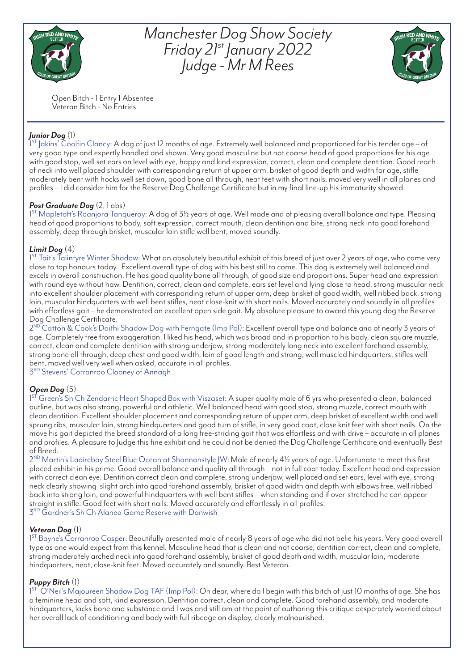

*Manchester Dog Show Society Friday 21st January 2022 Judge - Mr M Rees*



Open Bitch - 1 Entry 1 Absentee Veteran Bitch - No Entries

## *Junior Dog* (1)

1<sup>ST</sup> Jakins' Coolfin Clancy: A dog of just 12 months of age. Extremely well balanced and proportioned for his tender age – of very good type and expertly handled and shown. Very good masculine but not coarse head of good proportions for his age with good stop, well set ears on level with eye, happy and kind expression, correct, clean and complete dentition. Good reach of neck into well placed shoulder with corresponding return of upper arm, brisket of good depth and width for age, stifle moderately bent with hocks well set down, good bone all through, neat feet with short nails, moved very well in all planes and profiles – I did consider him for the Reserve Dog Challenge Certificate but in my final line-up his immaturity showed.

#### *Post Graduate Dog* (2, 1 abs)

1<sup>ST</sup> Mapletoft's Roanjora Tanqueray: A dog of 3½ years of age. Well made and of pleasing overall balance and type. Pleasing head of good proportions to body, soft expression, correct mouth, clean dentition and bite, strong neck into good forehand assembly, deep through brisket, muscular loin stifle well bent, moved soundly.

#### *Limit Dog* (4)

1<sup>ST</sup> Tait's Talintyre Winter Shadow: What an absolutely beautiful exhibit of this breed of just over 2 years of age, who came very close to top honours today. Excellent overall type of dog with his best still to come. This dog is extremely well balanced and excels in overall construction. He has good quality bone all through, of good size and proportions. Super head and expression with round eye without haw. Dentition, correct, clean and complete, ears set level and lying close to head, strong muscular neck into excellent shoulder placement with corresponding return of upper arm, deep brisket of good width, well ribbed back, strong loin, muscular hindquarters with well bent stifles, neat close-knit with short nails. Moved accurately and soundly in all profiles with effortless gait – he demonstrated an excellent open side gait. My absolute pleasure to award this young dog the Reserve Dog Challenge Certificate.

2<sup>ND</sup> Catton & Cook's Daithi Shadow Dog with Ferngate (Imp Pol): Excellent overall type and balance and of nearly 3 years of age. Completely free from exaggeration. I liked his head, which was broad and in proportion to his body, clean square muzzle, correct, clean and complete dentition with strong underjaw, strong moderately long neck into excellent forehand assembly, strong bone all through, deep chest and good width, loin of good length and strong, well muscled hindquarters, stifles well bent, moved well very well when asked, accurate in all profiles.

3RD Stevens' Corranroo Clooney of Annagh

### *Open Dog* (5)

1<sup>st</sup> Green's Sh Ch Zendarric Heart Shaped Box with Viszaset: A super quality male of 6 yrs who presented a clean, balanced outline, but was also strong, powerful and athletic. Well balanced head with good stop, strong muzzle, correct mouth with clean dentition. Excellent shoulder placement and corresponding return of upper arm, deep brisket of excellent width and well sprung ribs, muscular loin, strong hindquarters and good turn of stifle, in very good coat, close knit feet with short nails. On the move his gait depicted the breed standard of a long free-striding gait that was effortless and with drive – accurate in all planes and profiles. A pleasure to Judge this fine exhibit and he could not be denied the Dog Challenge Certificate and eventually Best of Breed.

2<sup>ND</sup> Martin's Laoirebay Steel Blue Ocean at Shannonstyle JW: Male of nearly 4½ years of age. Unfortunate to meet this first placed exhibit in his prime. Good overall balance and quality all through – not in full coat today. Excellent head and expression with correct clean eye. Dentition correct clean and complete, strong underjaw, well placed and set ears, level with eye, strong neck clearly showing slight arch into good forehand assembly, brisket of good width and depth with elbows free, well ribbed back into strong loin, and powerful hindquarters with well bent stifles – when standing and if over-stretched he can appear straight in stifle. Good feet with short nails. Moved accurately and effortlessly in all profiles.  $3^{RD}$  Gardner's Sh Ch Alanea Game Reserve with Danwish

#### *Veteran Dog* (1)

1<sup>st</sup> Bayne's Corranroo Casper: Beautifully presented male of nearly 8 years of age who did not belie his years. Very good overall type as one would expect from this kennel. Masculine head that is clean and not coarse, dentition correct, clean and complete, strong moderately arched neck into good forehand assembly, brisket of good depth and width, muscular loin, moderate hindquarters, neat, close-knit feet. Moved accurately and soundly. Best Veteran.

### *Puppy Bitch* (1)

1<sup>ST</sup> O'Neil's Majoureen Shadow Dog TAF (Imp Pol): Oh dear, where do I begin with this bitch of just 10 months of age. She has a feminine head and soft, kind expression. Dentition correct, clean and complete. Good forehand assembly, and moderate hindquarters, lacks bone and substance and I was and still am at the point of authoring this critique desperately worried about her overall lack of conditioning and body with full ribcage on display, clearly malnourished.